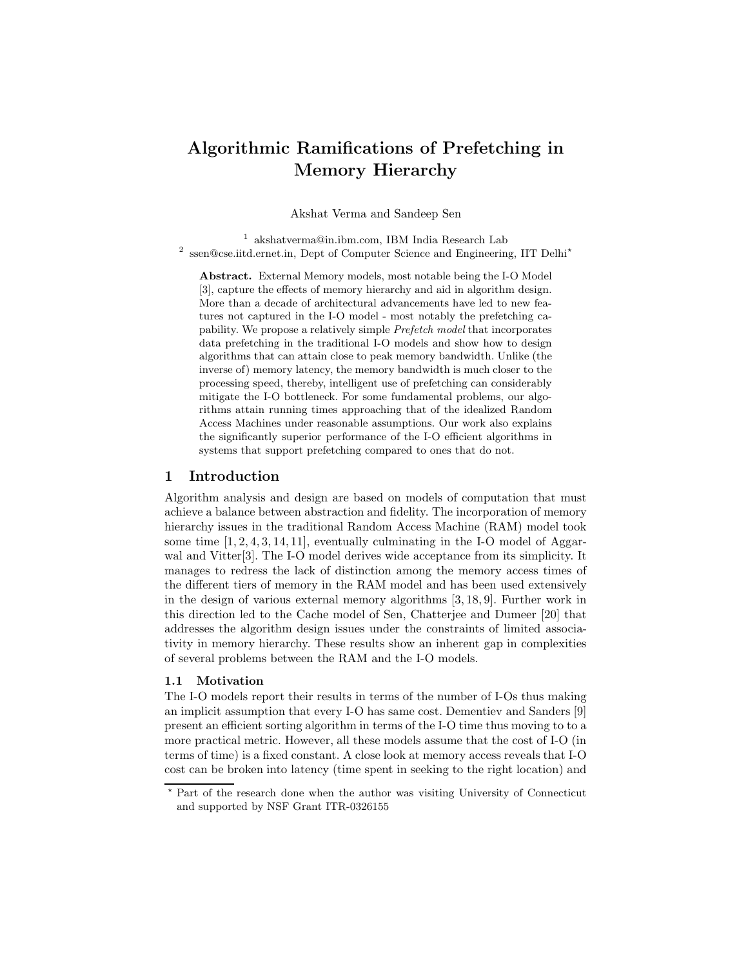# Algorithmic Ramifications of Prefetching in Memory Hierarchy

Akshat Verma and Sandeep Sen

1 akshatverma@in.ibm.com, IBM India Research Lab <sup>2</sup> ssen@cse.iitd.ernet.in, Dept of Computer Science and Engineering, IIT Delhi<sup>\*</sup>

Abstract. External Memory models, most notable being the I-O Model [3], capture the effects of memory hierarchy and aid in algorithm design. More than a decade of architectural advancements have led to new features not captured in the I-O model - most notably the prefetching capability. We propose a relatively simple Prefetch model that incorporates data prefetching in the traditional I-O models and show how to design algorithms that can attain close to peak memory bandwidth. Unlike (the inverse of) memory latency, the memory bandwidth is much closer to the processing speed, thereby, intelligent use of prefetching can considerably mitigate the I-O bottleneck. For some fundamental problems, our algorithms attain running times approaching that of the idealized Random Access Machines under reasonable assumptions. Our work also explains the significantly superior performance of the I-O efficient algorithms in systems that support prefetching compared to ones that do not.

## 1 Introduction

Algorithm analysis and design are based on models of computation that must achieve a balance between abstraction and fidelity. The incorporation of memory hierarchy issues in the traditional Random Access Machine (RAM) model took some time  $[1, 2, 4, 3, 14, 11]$ , eventually culminating in the I-O model of Aggarwal and Vitter[3]. The I-O model derives wide acceptance from its simplicity. It manages to redress the lack of distinction among the memory access times of the different tiers of memory in the RAM model and has been used extensively in the design of various external memory algorithms [3, 18, 9]. Further work in this direction led to the Cache model of Sen, Chatterjee and Dumeer [20] that addresses the algorithm design issues under the constraints of limited associativity in memory hierarchy. These results show an inherent gap in complexities of several problems between the RAM and the I-O models.

#### 1.1 Motivation

The I-O models report their results in terms of the number of I-Os thus making an implicit assumption that every I-O has same cost. Dementiev and Sanders [9] present an efficient sorting algorithm in terms of the I-O time thus moving to to a more practical metric. However, all these models assume that the cost of I-O (in terms of time) is a fixed constant. A close look at memory access reveals that I-O cost can be broken into latency (time spent in seeking to the right location) and

<sup>?</sup> Part of the research done when the author was visiting University of Connecticut and supported by NSF Grant ITR-0326155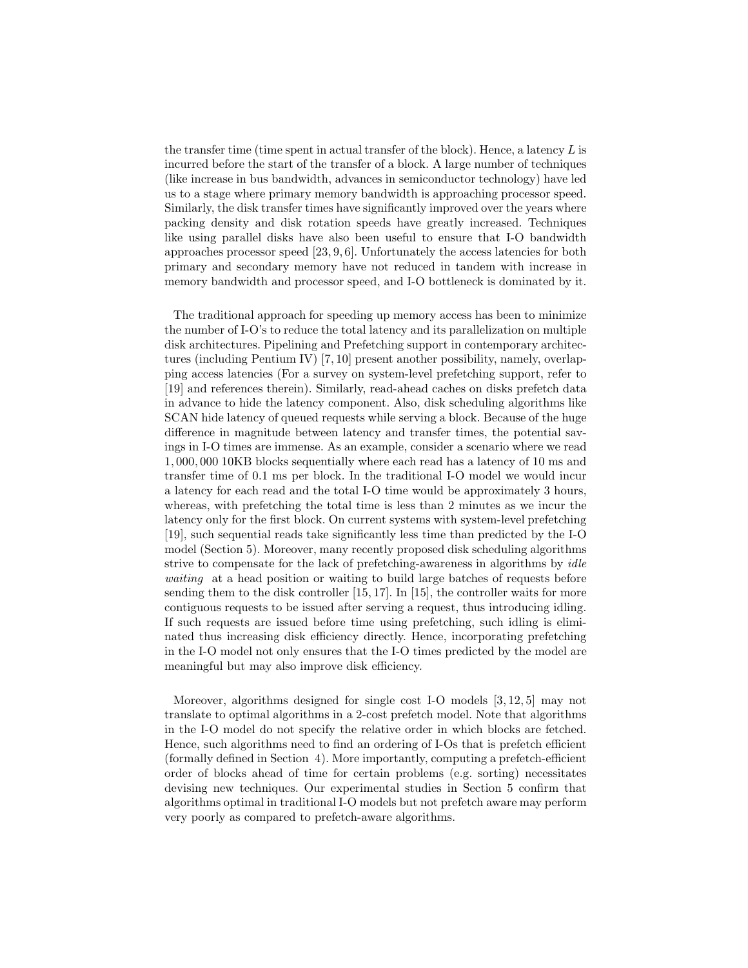the transfer time (time spent in actual transfer of the block). Hence, a latency  $L$  is incurred before the start of the transfer of a block. A large number of techniques (like increase in bus bandwidth, advances in semiconductor technology) have led us to a stage where primary memory bandwidth is approaching processor speed. Similarly, the disk transfer times have significantly improved over the years where packing density and disk rotation speeds have greatly increased. Techniques like using parallel disks have also been useful to ensure that I-O bandwidth approaches processor speed [23, 9, 6]. Unfortunately the access latencies for both primary and secondary memory have not reduced in tandem with increase in memory bandwidth and processor speed, and I-O bottleneck is dominated by it.

The traditional approach for speeding up memory access has been to minimize the number of I-O's to reduce the total latency and its parallelization on multiple disk architectures. Pipelining and Prefetching support in contemporary architectures (including Pentium IV) [7, 10] present another possibility, namely, overlapping access latencies (For a survey on system-level prefetching support, refer to [19] and references therein). Similarly, read-ahead caches on disks prefetch data in advance to hide the latency component. Also, disk scheduling algorithms like SCAN hide latency of queued requests while serving a block. Because of the huge difference in magnitude between latency and transfer times, the potential savings in I-O times are immense. As an example, consider a scenario where we read 1, 000, 000 10KB blocks sequentially where each read has a latency of 10 ms and transfer time of 0.1 ms per block. In the traditional I-O model we would incur a latency for each read and the total I-O time would be approximately 3 hours, whereas, with prefetching the total time is less than 2 minutes as we incur the latency only for the first block. On current systems with system-level prefetching [19], such sequential reads take significantly less time than predicted by the I-O model (Section 5). Moreover, many recently proposed disk scheduling algorithms strive to compensate for the lack of prefetching-awareness in algorithms by *idle* waiting at a head position or waiting to build large batches of requests before sending them to the disk controller  $[15, 17]$ . In  $[15]$ , the controller waits for more contiguous requests to be issued after serving a request, thus introducing idling. If such requests are issued before time using prefetching, such idling is eliminated thus increasing disk efficiency directly. Hence, incorporating prefetching in the I-O model not only ensures that the I-O times predicted by the model are meaningful but may also improve disk efficiency.

Moreover, algorithms designed for single cost I-O models [3, 12, 5] may not translate to optimal algorithms in a 2-cost prefetch model. Note that algorithms in the I-O model do not specify the relative order in which blocks are fetched. Hence, such algorithms need to find an ordering of I-Os that is prefetch efficient (formally defined in Section 4). More importantly, computing a prefetch-efficient order of blocks ahead of time for certain problems (e.g. sorting) necessitates devising new techniques. Our experimental studies in Section 5 confirm that algorithms optimal in traditional I-O models but not prefetch aware may perform very poorly as compared to prefetch-aware algorithms.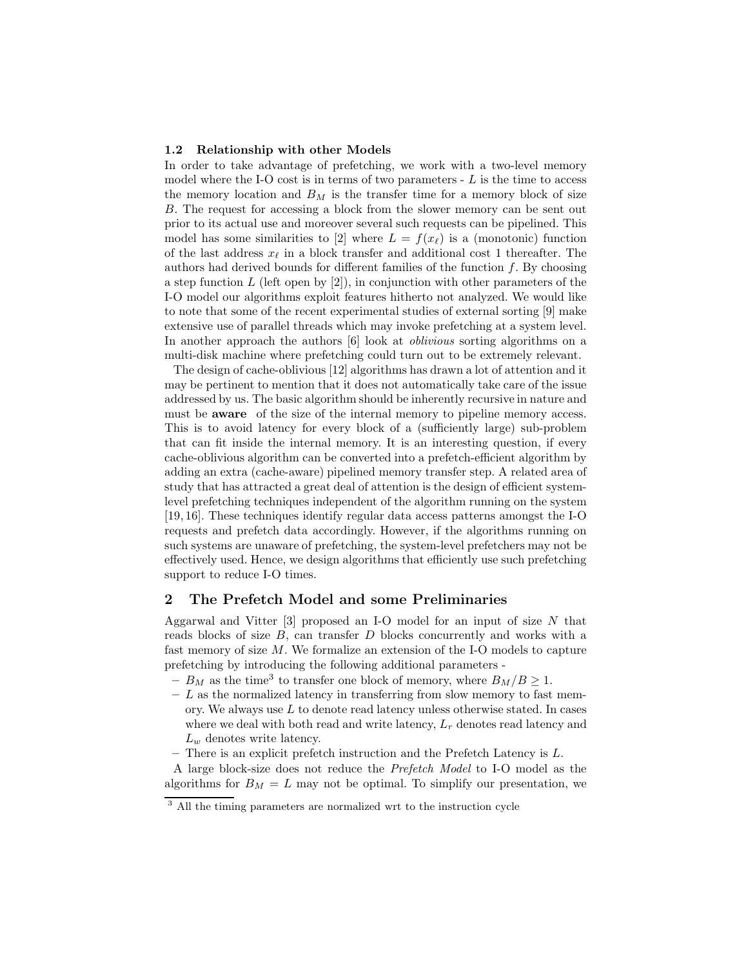#### 1.2 Relationship with other Models

In order to take advantage of prefetching, we work with a two-level memory model where the I-O cost is in terms of two parameters  $-L$  is the time to access the memory location and  $B_M$  is the transfer time for a memory block of size B. The request for accessing a block from the slower memory can be sent out prior to its actual use and moreover several such requests can be pipelined. This model has some similarities to [2] where  $L = f(x_\ell)$  is a (monotonic) function of the last address  $x_{\ell}$  in a block transfer and additional cost 1 thereafter. The authors had derived bounds for different families of the function  $f$ . By choosing a step function  $L$  (left open by [2]), in conjunction with other parameters of the I-O model our algorithms exploit features hitherto not analyzed. We would like to note that some of the recent experimental studies of external sorting [9] make extensive use of parallel threads which may invoke prefetching at a system level. In another approach the authors [6] look at oblivious sorting algorithms on a multi-disk machine where prefetching could turn out to be extremely relevant.

The design of cache-oblivious [12] algorithms has drawn a lot of attention and it may be pertinent to mention that it does not automatically take care of the issue addressed by us. The basic algorithm should be inherently recursive in nature and must be **aware** of the size of the internal memory to pipeline memory access. This is to avoid latency for every block of a (sufficiently large) sub-problem that can fit inside the internal memory. It is an interesting question, if every cache-oblivious algorithm can be converted into a prefetch-efficient algorithm by adding an extra (cache-aware) pipelined memory transfer step. A related area of study that has attracted a great deal of attention is the design of efficient systemlevel prefetching techniques independent of the algorithm running on the system [19, 16]. These techniques identify regular data access patterns amongst the I-O requests and prefetch data accordingly. However, if the algorithms running on such systems are unaware of prefetching, the system-level prefetchers may not be effectively used. Hence, we design algorithms that efficiently use such prefetching support to reduce I-O times.

# 2 The Prefetch Model and some Preliminaries

Aggarwal and Vitter  $[3]$  proposed an I-O model for an input of size N that reads blocks of size B, can transfer D blocks concurrently and works with a fast memory of size M. We formalize an extension of the I-O models to capture prefetching by introducing the following additional parameters -

- $-B_M$  as the time<sup>3</sup> to transfer one block of memory, where  $B_M/B \geq 1$ .
- $L$  as the normalized latency in transferring from slow memory to fast memory. We always use  $L$  to denote read latency unless otherwise stated. In cases where we deal with both read and write latency,  $L_r$  denotes read latency and  $L_w$  denotes write latency.
- $-$  There is an explicit prefetch instruction and the Prefetch Latency is  $L$ .

A large block-size does not reduce the Prefetch Model to I-O model as the algorithms for  $B_M = L$  may not be optimal. To simplify our presentation, we

<sup>3</sup> All the timing parameters are normalized wrt to the instruction cycle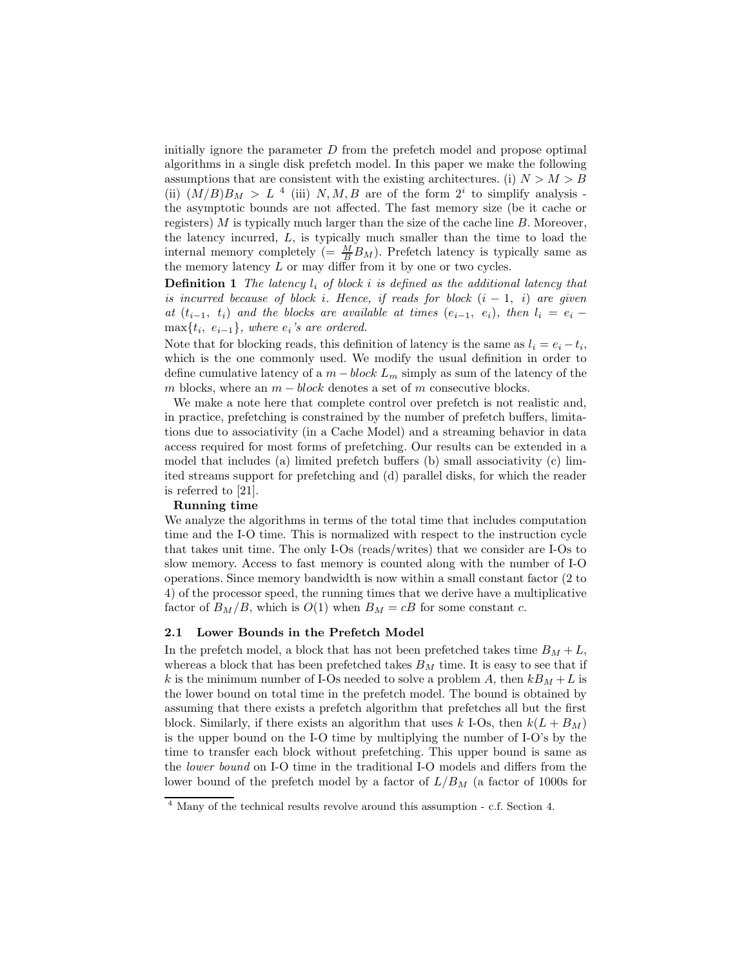initially ignore the parameter  $D$  from the prefetch model and propose optimal algorithms in a single disk prefetch model. In this paper we make the following assumptions that are consistent with the existing architectures. (i)  $N > M > B$ (ii)  $(M/B)B_M > L^4$  (iii) N, M, B are of the form  $2^i$  to simplify analysis the asymptotic bounds are not affected. The fast memory size (be it cache or registers)  $M$  is typically much larger than the size of the cache line  $B$ . Moreover, the latency incurred, L, is typically much smaller than the time to load the internal memory completely (=  $\frac{M}{B}B_M$ ). Prefetch latency is typically same as the memory latency  $L$  or may differ from it by one or two cycles.

**Definition 1** The latency  $l_i$  of block i is defined as the additional latency that is incurred because of block i. Hence, if reads for block  $(i - 1, i)$  are given at  $(t_{i-1}, t_i)$  and the blocks are available at times  $(e_{i-1}, e_i)$ , then  $l_i = e_i \max\{t_i, e_{i-1}\}$ , where  $e_i$ 's are ordered.

Note that for blocking reads, this definition of latency is the same as  $l_i = e_i - t_i$ , which is the one commonly used. We modify the usual definition in order to define cumulative latency of a  $m - block L_m$  simply as sum of the latency of the m blocks, where an  $m - block$  denotes a set of m consecutive blocks.

We make a note here that complete control over prefetch is not realistic and, in practice, prefetching is constrained by the number of prefetch buffers, limitations due to associativity (in a Cache Model) and a streaming behavior in data access required for most forms of prefetching. Our results can be extended in a model that includes (a) limited prefetch buffers (b) small associativity (c) limited streams support for prefetching and (d) parallel disks, for which the reader is referred to [21].

### Running time

We analyze the algorithms in terms of the total time that includes computation time and the I-O time. This is normalized with respect to the instruction cycle that takes unit time. The only I-Os (reads/writes) that we consider are I-Os to slow memory. Access to fast memory is counted along with the number of I-O operations. Since memory bandwidth is now within a small constant factor (2 to 4) of the processor speed, the running times that we derive have a multiplicative factor of  $B_M/B$ , which is  $O(1)$  when  $B_M = cB$  for some constant c.

#### 2.1 Lower Bounds in the Prefetch Model

In the prefetch model, a block that has not been prefetched takes time  $B_M + L$ , whereas a block that has been prefetched takes  $B_M$  time. It is easy to see that if k is the minimum number of I-Os needed to solve a problem A, then  $kB_M + L$  is the lower bound on total time in the prefetch model. The bound is obtained by assuming that there exists a prefetch algorithm that prefetches all but the first block. Similarly, if there exists an algorithm that uses k I-Os, then  $k(L + B_M)$ is the upper bound on the I-O time by multiplying the number of I-O's by the time to transfer each block without prefetching. This upper bound is same as the lower bound on I-O time in the traditional I-O models and differs from the lower bound of the prefetch model by a factor of  $L/B_M$  (a factor of 1000s for

<sup>&</sup>lt;sup>4</sup> Many of the technical results revolve around this assumption - c.f. Section 4.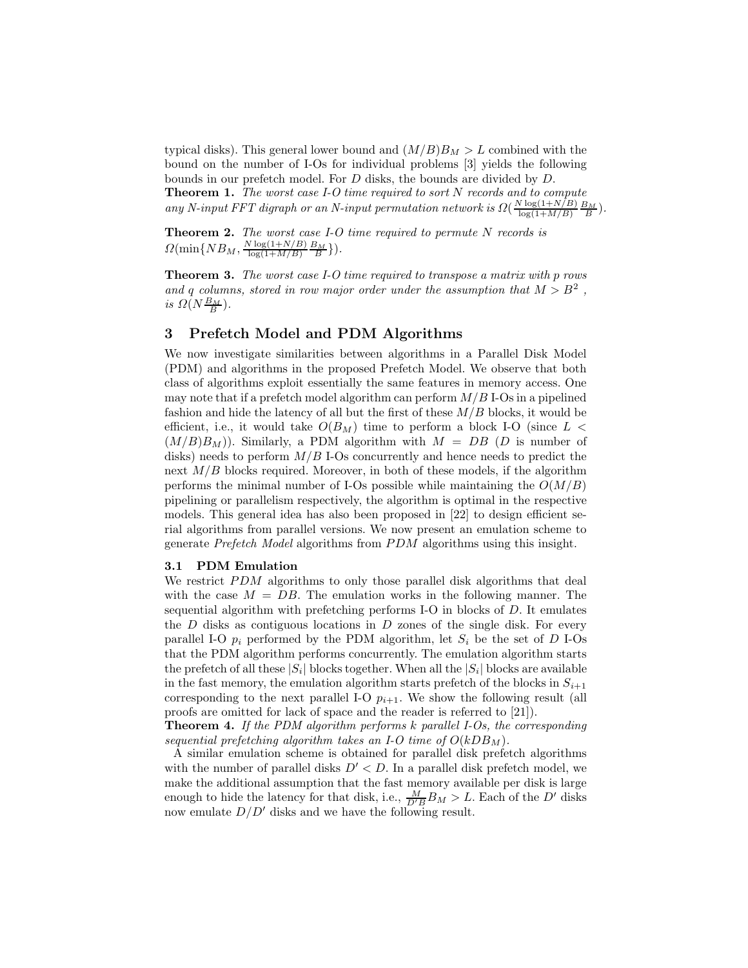typical disks). This general lower bound and  $(M/B)B_M > L$  combined with the bound on the number of I-Os for individual problems [3] yields the following bounds in our prefetch model. For D disks, the bounds are divided by D. **Theorem 1.** The worst case I-O time required to sort  $N$  records and to compute

any N-input FFT digraph or an N-input permutation network is  $\Omega(\frac{N \log(1+N/B)}{\log(1+M/B)})$  $\frac{\log(1+N/B)}{\log(1+M/B)} \frac{B_M}{B}$ .

**Theorem 2.** The worst case I-O time required to permute  $N$  records is  $\Omega(\min\{NB_M, \frac{N\log(1+N/B)}{\log(1+M/B)}\})$  $\frac{\log(1+N/B)}{\log(1+M/B)} \frac{B_M}{B}$ .

Theorem 3. The worst case I-O time required to transpose a matrix with p rows and q columns, stored in row major order under the assumption that  $M > B^2$ , is  $\Omega(N\frac{B_M}{B})$ .

## 3 Prefetch Model and PDM Algorithms

We now investigate similarities between algorithms in a Parallel Disk Model (PDM) and algorithms in the proposed Prefetch Model. We observe that both class of algorithms exploit essentially the same features in memory access. One may note that if a prefetch model algorithm can perform  $M/B$  I-Os in a pipelined fashion and hide the latency of all but the first of these  $M/B$  blocks, it would be efficient, i.e., it would take  $O(B_M)$  time to perform a block I-O (since  $L <$  $(M/B)B_M$ ). Similarly, a PDM algorithm with  $M = DB$  (D is number of disks) needs to perform  $M/B$  I-Os concurrently and hence needs to predict the next  $M/B$  blocks required. Moreover, in both of these models, if the algorithm performs the minimal number of I-Os possible while maintaining the  $O(M/B)$ pipelining or parallelism respectively, the algorithm is optimal in the respective models. This general idea has also been proposed in [22] to design efficient serial algorithms from parallel versions. We now present an emulation scheme to generate Prefetch Model algorithms from PDM algorithms using this insight.

#### 3.1 PDM Emulation

We restrict  $PDM$  algorithms to only those parallel disk algorithms that deal with the case  $M = DB$ . The emulation works in the following manner. The sequential algorithm with prefetching performs I-O in blocks of D. It emulates the  $D$  disks as contiguous locations in  $D$  zones of the single disk. For every parallel I-O  $p_i$  performed by the PDM algorithm, let  $S_i$  be the set of D I-Os that the PDM algorithm performs concurrently. The emulation algorithm starts the prefetch of all these  $|S_i|$  blocks together. When all the  $|S_i|$  blocks are available in the fast memory, the emulation algorithm starts prefetch of the blocks in  $S_{i+1}$ corresponding to the next parallel I-O  $p_{i+1}$ . We show the following result (all proofs are omitted for lack of space and the reader is referred to [21]).

**Theorem 4.** If the PDM algorithm performs  $k$  parallel I-Os, the corresponding sequential prefetching algorithm takes an I-O time of  $O(kDB<sub>M</sub>)$ .

A similar emulation scheme is obtained for parallel disk prefetch algorithms with the number of parallel disks  $D' < D$ . In a parallel disk prefetch model, we make the additional assumption that the fast memory available per disk is large enough to hide the latency for that disk, i.e.,  $\frac{M}{D'B} B_M > L$ . Each of the D' disks now emulate  $D/D'$  disks and we have the following result.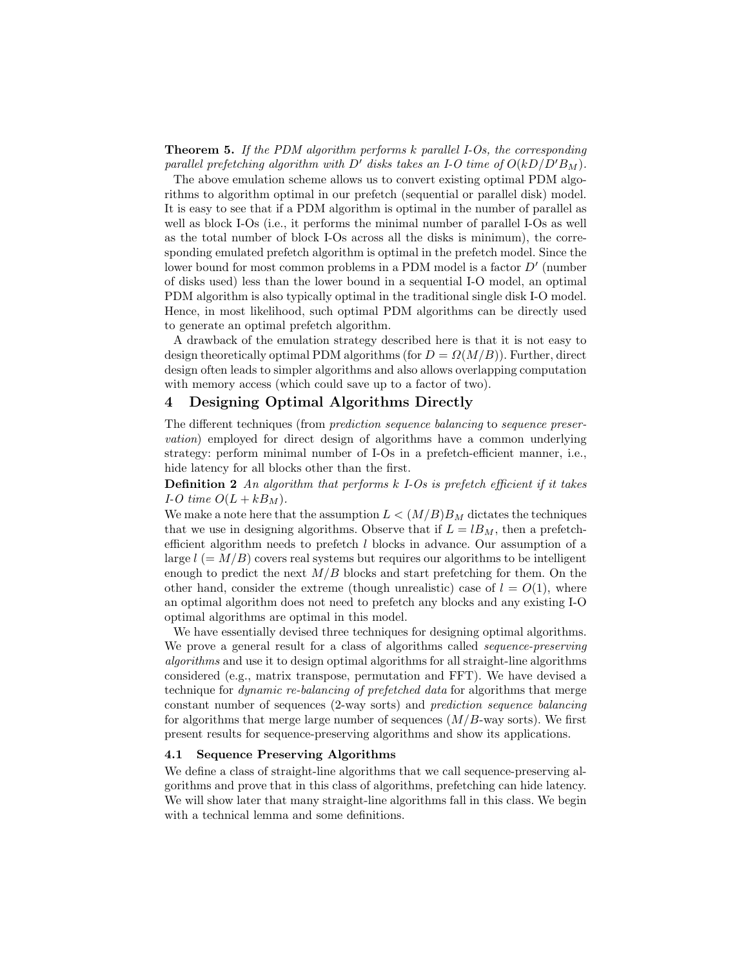Theorem 5. If the PDM algorithm performs k parallel I-Os, the corresponding parallel prefetching algorithm with D' disks takes an I-O time of  $O(kD/D'B_M)$ .

The above emulation scheme allows us to convert existing optimal PDM algorithms to algorithm optimal in our prefetch (sequential or parallel disk) model. It is easy to see that if a PDM algorithm is optimal in the number of parallel as well as block I-Os (i.e., it performs the minimal number of parallel I-Os as well as the total number of block I-Os across all the disks is minimum), the corresponding emulated prefetch algorithm is optimal in the prefetch model. Since the lower bound for most common problems in a PDM model is a factor  $D'$  (number of disks used) less than the lower bound in a sequential I-O model, an optimal PDM algorithm is also typically optimal in the traditional single disk I-O model. Hence, in most likelihood, such optimal PDM algorithms can be directly used to generate an optimal prefetch algorithm.

A drawback of the emulation strategy described here is that it is not easy to design theoretically optimal PDM algorithms (for  $D = \Omega(M/B)$ ). Further, direct design often leads to simpler algorithms and also allows overlapping computation with memory access (which could save up to a factor of two).

# 4 Designing Optimal Algorithms Directly

The different techniques (from prediction sequence balancing to sequence preservation) employed for direct design of algorithms have a common underlying strategy: perform minimal number of I-Os in a prefetch-efficient manner, i.e., hide latency for all blocks other than the first.

**Definition 2** An algorithm that performs  $k$  I-Os is prefetch efficient if it takes I-O time  $O(L + kB<sub>M</sub>)$ .

We make a note here that the assumption  $L < (M/B)B_M$  dictates the techniques that we use in designing algorithms. Observe that if  $L = lB_M$ , then a prefetchefficient algorithm needs to prefetch l blocks in advance. Our assumption of a large  $l = M/B$ ) covers real systems but requires our algorithms to be intelligent enough to predict the next  $M/B$  blocks and start prefetching for them. On the other hand, consider the extreme (though unrealistic) case of  $l = O(1)$ , where an optimal algorithm does not need to prefetch any blocks and any existing I-O optimal algorithms are optimal in this model.

We have essentially devised three techniques for designing optimal algorithms. We prove a general result for a class of algorithms called *sequence-preserving* algorithms and use it to design optimal algorithms for all straight-line algorithms considered (e.g., matrix transpose, permutation and FFT). We have devised a technique for dynamic re-balancing of prefetched data for algorithms that merge constant number of sequences (2-way sorts) and prediction sequence balancing for algorithms that merge large number of sequences  $(M/B$ -way sorts). We first present results for sequence-preserving algorithms and show its applications.

#### 4.1 Sequence Preserving Algorithms

We define a class of straight-line algorithms that we call sequence-preserving algorithms and prove that in this class of algorithms, prefetching can hide latency. We will show later that many straight-line algorithms fall in this class. We begin with a technical lemma and some definitions.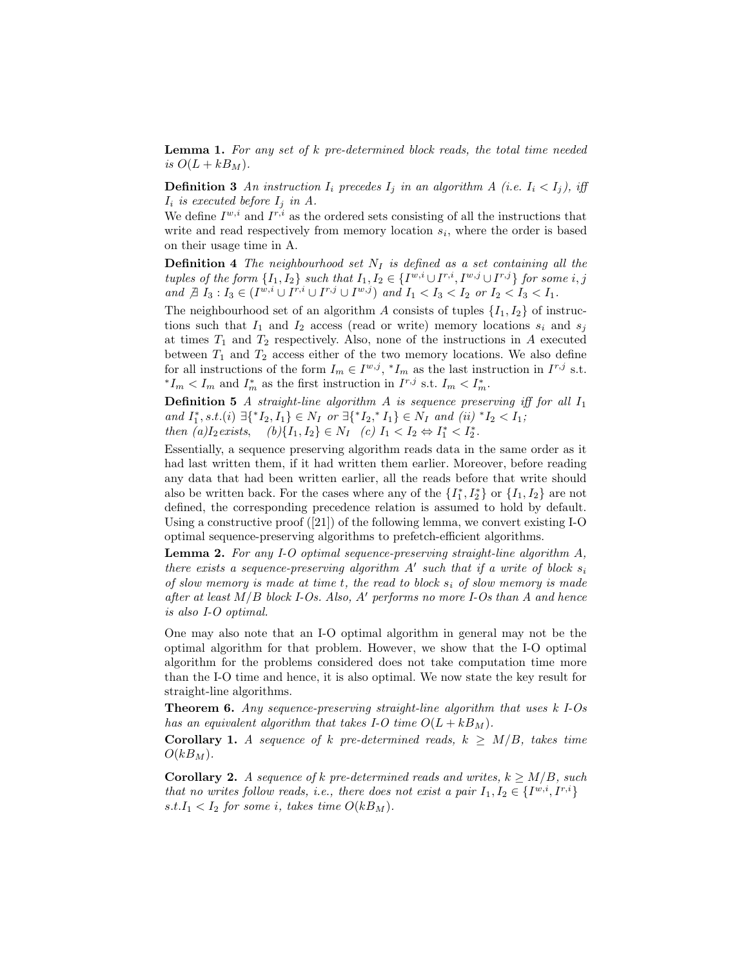Lemma 1. For any set of k pre-determined block reads, the total time needed is  $O(L + kB_M)$ .

**Definition 3** An instruction  $I_i$  precedes  $I_j$  in an algorithm A (i.e.  $I_i < I_j$ ), iff  $I_i$  is executed before  $I_j$  in A.

We define  $I^{w,i}$  and  $I^{r,i}$  as the ordered sets consisting of all the instructions that write and read respectively from memory location  $s_i$ , where the order is based on their usage time in A.

**Definition 4** The neighbourhood set  $N_I$  is defined as a set containing all the tuples of the form  $\{I_1, I_2\}$  such that  $I_1, I_2 \in \{I^{w,i} \cup I^{r,i}, I^{w,j} \cup I^{r,j}\}$  for some i, j and  $\exists I_3 : I_3 \in (I^{w,i} \cup I^{r,i} \cup I^{r,j} \cup I^{w,j})$  and  $I_1 < I_3 < I_2$  or  $I_2 < I_3 < I_1$ .

The neighbourhood set of an algorithm A consists of tuples  $\{I_1, I_2\}$  of instructions such that  $I_1$  and  $I_2$  access (read or write) memory locations  $s_i$  and  $s_j$ at times  $T_1$  and  $T_2$  respectively. Also, none of the instructions in A executed between  $T_1$  and  $T_2$  access either of the two memory locations. We also define for all instructions of the form  $I_m \in I^{w,j}, *I_m$  as the last instruction in  $I^{r,j}$  s.t. <sup>\*</sup> $I_m < I_m$  and  $I_m^*$  as the first instruction in  $I^{r,j}$  s.t.  $I_m < I_m^*$ .

**Definition 5** A straight-line algorithm A is sequence preserving iff for all  $I_1$ and  $I_1^*, s.t. (i) \exists \{^*I_2, I_1\} \in N_I$  or  $\exists \{^*I_2,^*I_1\} \in N_I$  and  $(ii)$   $^*I_2 < I_1$ ;

then  $(a)I_2$  exists,  $(b)\{I_1, I_2\} \in N_I$  (c)  $I_1 < I_2 \Leftrightarrow I_1^* < I_2^*$ .

Essentially, a sequence preserving algorithm reads data in the same order as it had last written them, if it had written them earlier. Moreover, before reading any data that had been written earlier, all the reads before that write should also be written back. For the cases where any of the  $\{I_1^*, I_2^*\}$  or  $\{I_1, I_2\}$  are not defined, the corresponding precedence relation is assumed to hold by default. Using a constructive proof ([21]) of the following lemma, we convert existing I-O optimal sequence-preserving algorithms to prefetch-efficient algorithms.

Lemma 2. For any I-O optimal sequence-preserving straight-line algorithm A, there exists a sequence-preserving algorithm  $A'$  such that if a write of block  $s_i$ of slow memory is made at time t, the read to block  $s_i$  of slow memory is made after at least  $M/B$  block I-Os. Also, A' performs no more I-Os than A and hence is also I-O optimal.

One may also note that an I-O optimal algorithm in general may not be the optimal algorithm for that problem. However, we show that the I-O optimal algorithm for the problems considered does not take computation time more than the I-O time and hence, it is also optimal. We now state the key result for straight-line algorithms.

Theorem 6. Any sequence-preserving straight-line algorithm that uses k I-Os has an equivalent algorithm that takes I-O time  $O(L + kB_M)$ .

Corollary 1. A sequence of k pre-determined reads,  $k \geq M/B$ , takes time  $O(kB_M)$ .

**Corollary 2.** A sequence of k pre-determined reads and writes,  $k > M/B$ , such that no writes follow reads, i.e., there does not exist a pair  $I_1, I_2 \in \{I^{w,i}, I^{r,i}\}\$ s.t. $I_1 < I_2$  for some i, takes time  $O(kB_M)$ .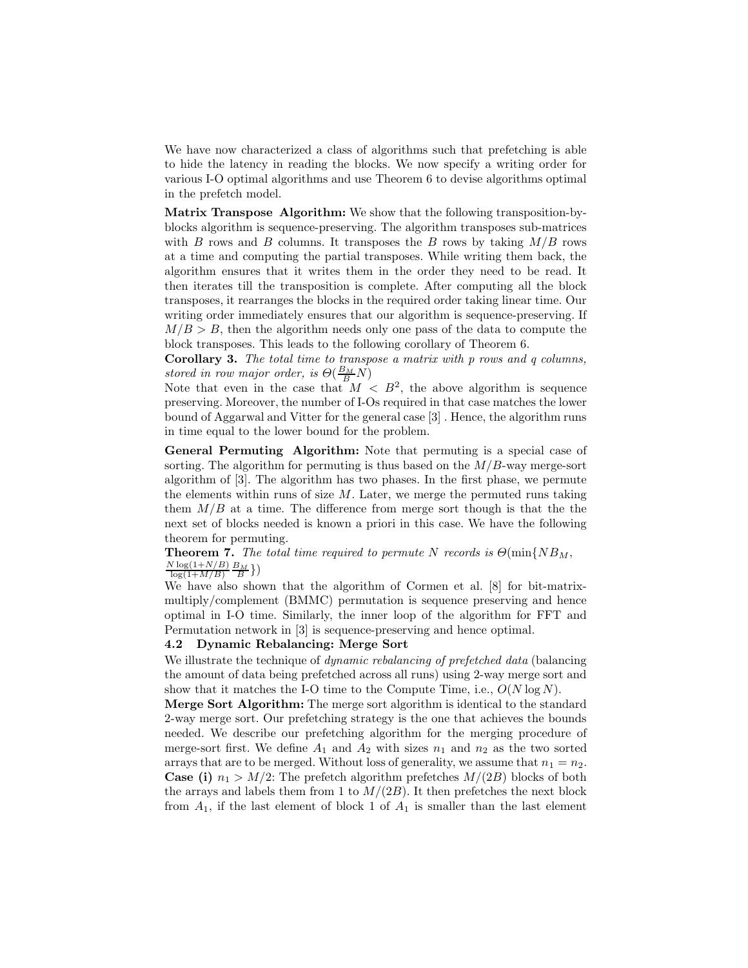We have now characterized a class of algorithms such that prefetching is able to hide the latency in reading the blocks. We now specify a writing order for various I-O optimal algorithms and use Theorem 6 to devise algorithms optimal in the prefetch model.

Matrix Transpose Algorithm: We show that the following transposition-byblocks algorithm is sequence-preserving. The algorithm transposes sub-matrices with B rows and B columns. It transposes the B rows by taking  $M/B$  rows at a time and computing the partial transposes. While writing them back, the algorithm ensures that it writes them in the order they need to be read. It then iterates till the transposition is complete. After computing all the block transposes, it rearranges the blocks in the required order taking linear time. Our writing order immediately ensures that our algorithm is sequence-preserving. If  $M/B > B$ , then the algorithm needs only one pass of the data to compute the block transposes. This leads to the following corollary of Theorem 6.

Corollary 3. The total time to transpose a matrix with p rows and q columns, stored in row major order, is  $\Theta(\frac{B_M}{B}N)$ 

Note that even in the case that  $M < B^2$ , the above algorithm is sequence preserving. Moreover, the number of I-Os required in that case matches the lower bound of Aggarwal and Vitter for the general case [3] . Hence, the algorithm runs in time equal to the lower bound for the problem.

General Permuting Algorithm: Note that permuting is a special case of sorting. The algorithm for permuting is thus based on the  $M/B$ -way merge-sort algorithm of [3]. The algorithm has two phases. In the first phase, we permute the elements within runs of size  $M$ . Later, we merge the permuted runs taking them  $M/B$  at a time. The difference from merge sort though is that the the next set of blocks needed is known a priori in this case. We have the following theorem for permuting.

#### **Theorem 7.** The total time required to permute N records is  $\Theta(\min\{NB_M,$  $N \log(1+N/B)$  $\frac{\log(1+N/B)}{\log(1+M/B)} \frac{B_M}{B}$

We have also shown that the algorithm of Cormen et al. [8] for bit-matrixmultiply/complement (BMMC) permutation is sequence preserving and hence optimal in I-O time. Similarly, the inner loop of the algorithm for FFT and Permutation network in [3] is sequence-preserving and hence optimal.

#### 4.2 Dynamic Rebalancing: Merge Sort

We illustrate the technique of *dynamic rebalancing of prefetched data* (balancing the amount of data being prefetched across all runs) using 2-way merge sort and show that it matches the I-O time to the Compute Time, i.e.,  $O(N \log N)$ .

Merge Sort Algorithm: The merge sort algorithm is identical to the standard 2-way merge sort. Our prefetching strategy is the one that achieves the bounds needed. We describe our prefetching algorithm for the merging procedure of merge-sort first. We define  $A_1$  and  $A_2$  with sizes  $n_1$  and  $n_2$  as the two sorted arrays that are to be merged. Without loss of generality, we assume that  $n_1 = n_2$ . **Case (i)**  $n_1 > M/2$ : The prefetch algorithm prefetches  $M/(2B)$  blocks of both the arrays and labels them from 1 to  $M/(2B)$ . It then prefetches the next block from  $A_1$ , if the last element of block 1 of  $A_1$  is smaller than the last element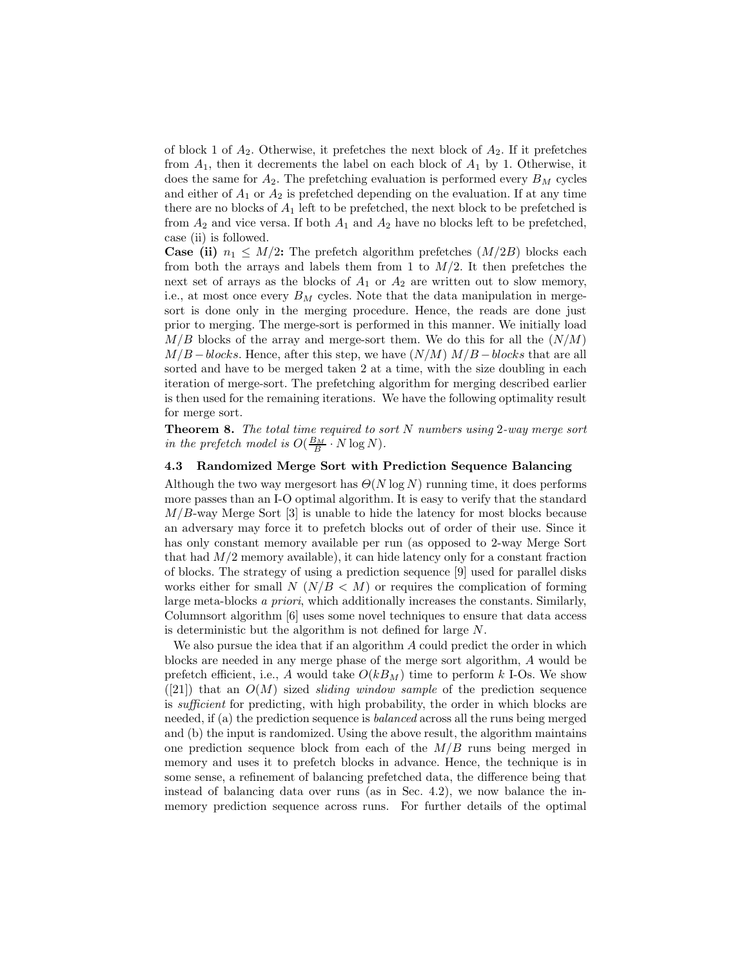of block 1 of  $A_2$ . Otherwise, it prefetches the next block of  $A_2$ . If it prefetches from  $A_1$ , then it decrements the label on each block of  $A_1$  by 1. Otherwise, it does the same for  $A_2$ . The prefetching evaluation is performed every  $B_M$  cycles and either of  $A_1$  or  $A_2$  is prefetched depending on the evaluation. If at any time there are no blocks of  $A_1$  left to be prefetched, the next block to be prefetched is from  $A_2$  and vice versa. If both  $A_1$  and  $A_2$  have no blocks left to be prefetched, case (ii) is followed.

**Case (ii)**  $n_1 \leq M/2$ : The prefetch algorithm prefetches  $(M/2B)$  blocks each from both the arrays and labels them from 1 to  $M/2$ . It then prefetches the next set of arrays as the blocks of  $A_1$  or  $A_2$  are written out to slow memory, i.e., at most once every  $B_M$  cycles. Note that the data manipulation in mergesort is done only in the merging procedure. Hence, the reads are done just prior to merging. The merge-sort is performed in this manner. We initially load  $M/B$  blocks of the array and merge-sort them. We do this for all the  $(N/M)$  $M/B - blocks$ . Hence, after this step, we have  $(N/M) M/B - blocks$  that are all sorted and have to be merged taken 2 at a time, with the size doubling in each iteration of merge-sort. The prefetching algorithm for merging described earlier is then used for the remaining iterations. We have the following optimality result for merge sort.

**Theorem 8.** The total time required to sort  $N$  numbers using 2-way merge sort in the prefetch model is  $O(\frac{B_M}{B} \cdot N \log N)$ .

#### 4.3 Randomized Merge Sort with Prediction Sequence Balancing

Although the two way mergesort has  $\Theta(N \log N)$  running time, it does performs more passes than an I-O optimal algorithm. It is easy to verify that the standard  $M/B$ -way Merge Sort [3] is unable to hide the latency for most blocks because an adversary may force it to prefetch blocks out of order of their use. Since it has only constant memory available per run (as opposed to 2-way Merge Sort that had  $M/2$  memory available), it can hide latency only for a constant fraction of blocks. The strategy of using a prediction sequence [9] used for parallel disks works either for small  $N(N/B < M)$  or requires the complication of forming large meta-blocks a priori, which additionally increases the constants. Similarly, Columnsort algorithm [6] uses some novel techniques to ensure that data access is deterministic but the algorithm is not defined for large N.

We also pursue the idea that if an algorithm A could predict the order in which blocks are needed in any merge phase of the merge sort algorithm, A would be prefetch efficient, i.e., A would take  $O(kB_M)$  time to perform k I-Os. We show  $([21])$  that an  $O(M)$  sized *sliding window sample* of the prediction sequence is sufficient for predicting, with high probability, the order in which blocks are needed, if (a) the prediction sequence is balanced across all the runs being merged and (b) the input is randomized. Using the above result, the algorithm maintains one prediction sequence block from each of the  $M/B$  runs being merged in memory and uses it to prefetch blocks in advance. Hence, the technique is in some sense, a refinement of balancing prefetched data, the difference being that instead of balancing data over runs (as in Sec. 4.2), we now balance the inmemory prediction sequence across runs. For further details of the optimal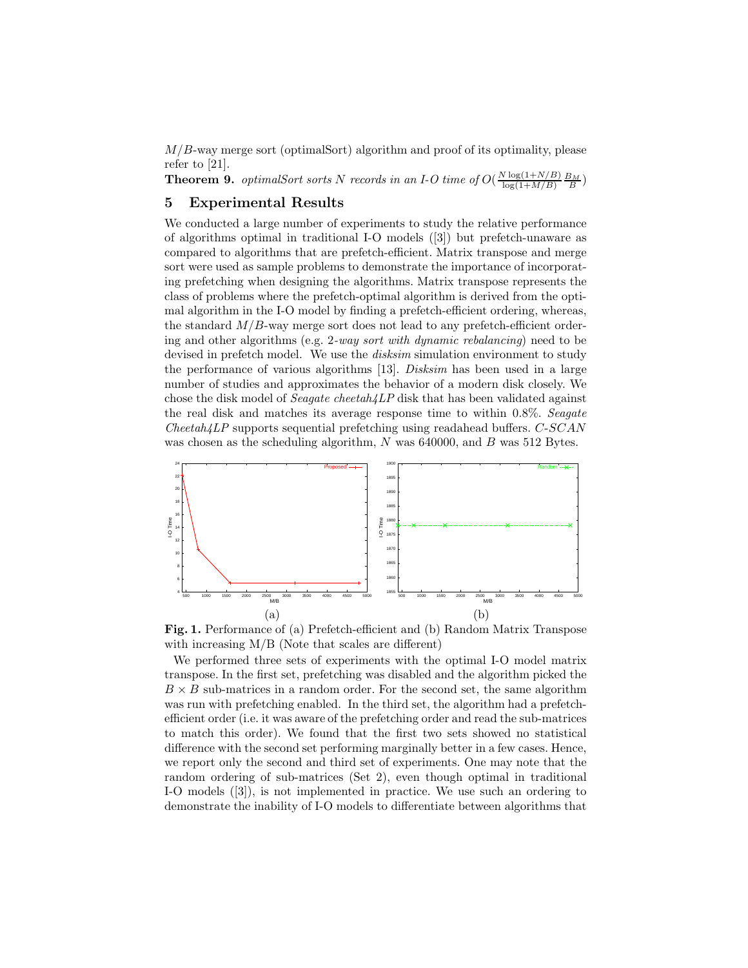M/B-way merge sort (optimalSort) algorithm and proof of its optimality, please refer to [21].

**Theorem 9.** optimalSort sorts N records in an I-O time of  $O(\frac{N \log(1+N/B)}{\log(1+M/B)})$  $\frac{\log(1+N/B)}{\log(1+M/B)}\frac{B_M}{B}$ 

# 5 Experimental Results

We conducted a large number of experiments to study the relative performance of algorithms optimal in traditional I-O models ([3]) but prefetch-unaware as compared to algorithms that are prefetch-efficient. Matrix transpose and merge sort were used as sample problems to demonstrate the importance of incorporating prefetching when designing the algorithms. Matrix transpose represents the class of problems where the prefetch-optimal algorithm is derived from the optimal algorithm in the I-O model by finding a prefetch-efficient ordering, whereas, the standard  $M/B$ -way merge sort does not lead to any prefetch-efficient ordering and other algorithms (e.g. 2-way sort with dynamic rebalancing) need to be devised in prefetch model. We use the *disksim* simulation environment to study the performance of various algorithms [13]. Disksim has been used in a large number of studies and approximates the behavior of a modern disk closely. We chose the disk model of *Seagate cheetah4LP* disk that has been validated against the real disk and matches its average response time to within 0.8%. Seagate  $Checkah\{\perp P\}$  supports sequential prefetching using readahead buffers.  $C\text{-}SCAN$ was chosen as the scheduling algorithm, N was 640000, and B was 512 Bytes.



Fig. 1. Performance of (a) Prefetch-efficient and (b) Random Matrix Transpose with increasing M/B (Note that scales are different)

We performed three sets of experiments with the optimal I-O model matrix transpose. In the first set, prefetching was disabled and the algorithm picked the  $B \times B$  sub-matrices in a random order. For the second set, the same algorithm was run with prefetching enabled. In the third set, the algorithm had a prefetchefficient order (i.e. it was aware of the prefetching order and read the sub-matrices to match this order). We found that the first two sets showed no statistical difference with the second set performing marginally better in a few cases. Hence, we report only the second and third set of experiments. One may note that the random ordering of sub-matrices (Set 2), even though optimal in traditional I-O models ([3]), is not implemented in practice. We use such an ordering to demonstrate the inability of I-O models to differentiate between algorithms that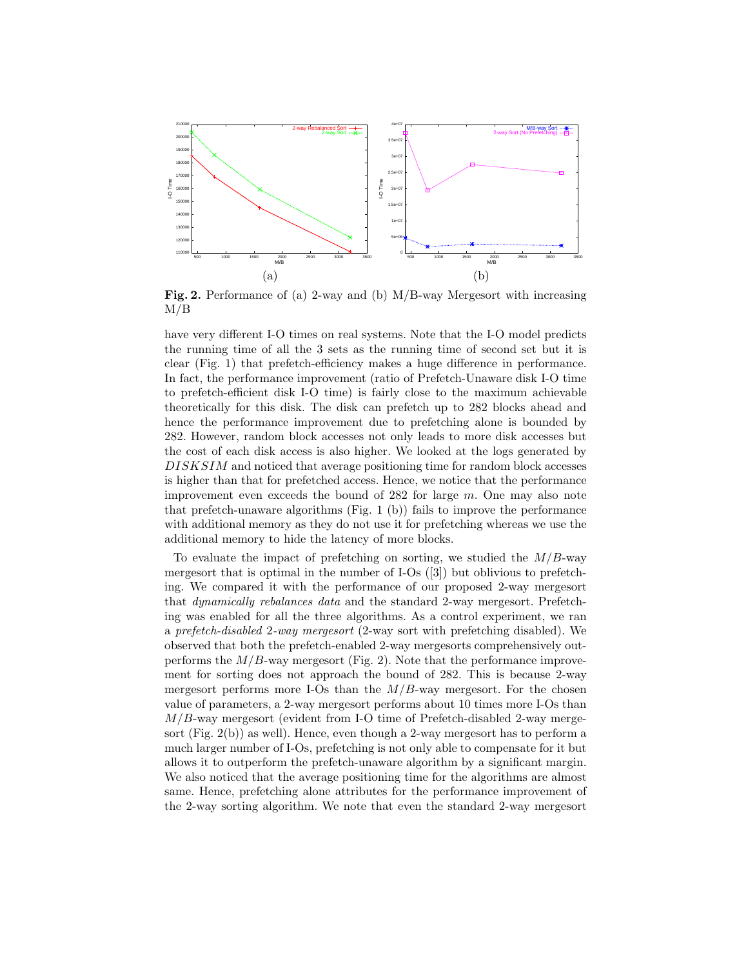

Fig. 2. Performance of (a) 2-way and (b) M/B-way Mergesort with increasing  $M/B$ 

have very different I-O times on real systems. Note that the I-O model predicts the running time of all the 3 sets as the running time of second set but it is clear (Fig. 1) that prefetch-efficiency makes a huge difference in performance. In fact, the performance improvement (ratio of Prefetch-Unaware disk I-O time to prefetch-efficient disk I-O time) is fairly close to the maximum achievable theoretically for this disk. The disk can prefetch up to 282 blocks ahead and hence the performance improvement due to prefetching alone is bounded by 282. However, random block accesses not only leads to more disk accesses but the cost of each disk access is also higher. We looked at the logs generated by DISKSIM and noticed that average positioning time for random block accesses is higher than that for prefetched access. Hence, we notice that the performance improvement even exceeds the bound of  $282$  for large m. One may also note that prefetch-unaware algorithms (Fig. 1 (b)) fails to improve the performance with additional memory as they do not use it for prefetching whereas we use the additional memory to hide the latency of more blocks.

To evaluate the impact of prefetching on sorting, we studied the  $M/B$ -way mergesort that is optimal in the number of I-Os ([3]) but oblivious to prefetching. We compared it with the performance of our proposed 2-way mergesort that dynamically rebalances data and the standard 2-way mergesort. Prefetching was enabled for all the three algorithms. As a control experiment, we ran a prefetch-disabled 2-way mergesort (2-way sort with prefetching disabled). We observed that both the prefetch-enabled 2-way mergesorts comprehensively outperforms the  $M/B$ -way mergesort (Fig. 2). Note that the performance improvement for sorting does not approach the bound of 282. This is because 2-way mergesort performs more I-Os than the  $M/B$ -way mergesort. For the chosen value of parameters, a 2-way mergesort performs about 10 times more I-Os than  $M/B$ -way mergesort (evident from I-O time of Prefetch-disabled 2-way mergesort (Fig. 2(b)) as well). Hence, even though a 2-way mergesort has to perform a much larger number of I-Os, prefetching is not only able to compensate for it but allows it to outperform the prefetch-unaware algorithm by a significant margin. We also noticed that the average positioning time for the algorithms are almost same. Hence, prefetching alone attributes for the performance improvement of the 2-way sorting algorithm. We note that even the standard 2-way mergesort